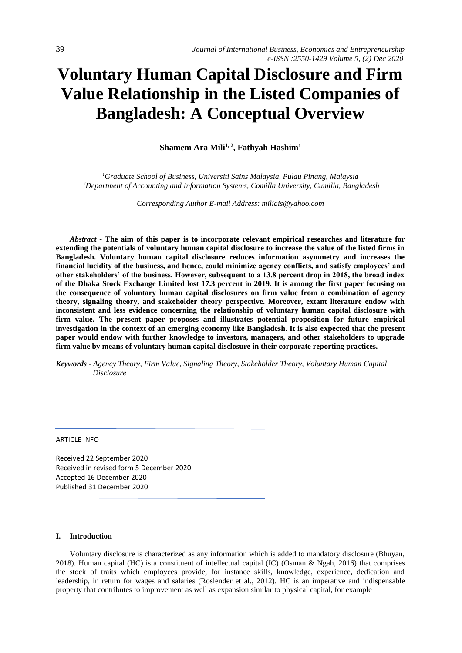# **Voluntary Human Capital Disclosure and Firm Value Relationship in the Listed Companies of Bangladesh: A Conceptual Overview**

**Shamem Ara Mili1, 2, Fathyah Hashim<sup>1</sup>**

*<sup>1</sup>Graduate School of Business, Universiti Sains Malaysia, Pulau Pinang, Malaysia <sup>2</sup>Department of Accounting and Information Systems, Comilla University, Cumilla, Bangladesh*

*Corresponding Author E-mail Address[: miliais@yahoo.com](mailto:miliais@yahoo.com)*

*Abstract -* **The aim of this paper is to incorporate relevant empirical researches and literature for extending the potentials of voluntary human capital disclosure to increase the value of the listed firms in Bangladesh. Voluntary human capital disclosure reduces information asymmetry and increases the financial lucidity of the business, and hence, could minimize agency conflicts, and satisfy employees' and other stakeholders' of the business. However, subsequent to a 13.8 percent drop in 2018, the broad index of the Dhaka Stock Exchange Limited lost 17.3 percent in 2019. It is among the first paper focusing on the consequence of voluntary human capital disclosures on firm value from a combination of agency theory, signaling theory, and stakeholder theory perspective. Moreover, extant literature endow with inconsistent and less evidence concerning the relationship of voluntary human capital disclosure with firm value. The present paper proposes and illustrates potential proposition for future empirical investigation in the context of an emerging economy like Bangladesh. It is also expected that the present paper would endow with further knowledge to investors, managers, and other stakeholders to upgrade firm value by means of voluntary human capital disclosure in their corporate reporting practices.**

*Keywords - Agency Theory, Firm Value, Signaling Theory, Stakeholder Theory, Voluntary Human Capital Disclosure*

ARTICLE INFO

Received 22 September 2020 Received in revised form 5 December 2020 Accepted 16 December 2020 Published 31 December 2020

#### **I. Introduction**

Voluntary disclosure is characterized as any information which is added to mandatory disclosure (Bhuyan, 2018). Human capital (HC) is a constituent of intellectual capital (IC) (Osman & Ngah, 2016) that comprises the stock of traits which employees provide, for instance skills, knowledge, experience, dedication and leadership, in return for wages and salaries (Roslender et al., 2012). HC is an imperative and indispensable property that contributes to improvement as well as expansion similar to physical capital, for example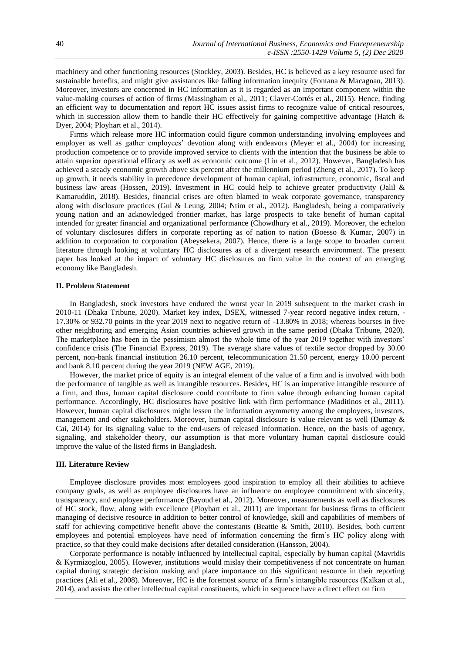machinery and other functioning resources (Stockley, 2003). Besides, HC is believed as a key resource used for sustainable benefits, and might give assistances like falling information inequity (Fontana & Macagnan, 2013). Moreover, investors are concerned in HC information as it is regarded as an important component within the value-making courses of action of firms (Massingham et al., 2011; Claver-Cortés et al., 2015). Hence, finding an efficient way to documentation and report HC issues assist firms to recognize value of critical resources, which in succession allow them to handle their HC effectively for gaining competitive advantage (Hatch  $\&$ Dyer, 2004; Ployhart et al., 2014).

Firms which release more HC information could figure common understanding involving employees and employer as well as gather employees' devotion along with endeavors (Meyer et al., 2004) for increasing production competence or to provide improved service to clients with the intention that the business be able to attain superior operational efficacy as well as economic outcome (Lin et al., 2012). However, Bangladesh has achieved a steady economic growth above six percent after the millennium period (Zheng et al., 2017). To keep up growth, it needs stability in precedence development of human capital, infrastructure, economic, fiscal and business law areas (Hossen, 2019). Investment in HC could help to achieve greater productivity (Jalil & Kamaruddin, 2018). Besides, financial crises are often blamed to weak corporate governance, transparency along with disclosure practices (Gul & Leung, 2004; Ntim et al., 2012). Bangladesh, being a comparatively young nation and an acknowledged frontier market, has large prospects to take benefit of human capital intended for greater financial and organizational performance (Chowdhury et al., 2019). Moreover, the echelon of voluntary disclosures differs in corporate reporting as of nation to nation (Boesso & Kumar, 2007) in addition to corporation to corporation (Abeysekera, 2007). Hence, there is a large scope to broaden current literature through looking at voluntary HC disclosures as of a divergent research environment. The present paper has looked at the impact of voluntary HC disclosures on firm value in the context of an emerging economy like Bangladesh.

# **II. Problem Statement**

In Bangladesh, stock investors have endured the worst year in 2019 subsequent to the market crash in 2010-11 (Dhaka Tribune, 2020). Market key index, DSEX, witnessed 7-year record negative index return, - 17.30% or 932.70 points in the year 2019 next to negative return of -13.80% in 2018; whereas bourses in five other neighboring and emerging Asian countries achieved growth in the same period (Dhaka Tribune, 2020). The marketplace has been in the pessimism almost the whole time of the year 2019 together with investors' confidence crisis (The Financial Express, 2019). The average share values of textile sector dropped by 30.00 percent, non-bank financial institution 26.10 percent, telecommunication 21.50 percent, energy 10.00 percent and bank 8.10 percent during the year 2019 (NEW AGE, 2019).

However, the market price of equity is an integral element of the value of a firm and is involved with both the performance of tangible as well as intangible resources. Besides, HC is an imperative intangible resource of a firm, and thus, human capital disclosure could contribute to firm value through enhancing human capital performance. Accordingly, HC disclosures have positive link with firm performance (Maditinos et al., 2011). However, human capital disclosures might lessen the information asymmetry among the employees, investors, management and other stakeholders. Moreover, human capital disclosure is value relevant as well (Dumay & Cai, 2014) for its signaling value to the end-users of released information. Hence, on the basis of agency, signaling, and stakeholder theory, our assumption is that more voluntary human capital disclosure could improve the value of the listed firms in Bangladesh.

#### **III. Literature Review**

Employee disclosure provides most employees good inspiration to employ all their abilities to achieve company goals, as well as employee disclosures have an influence on employee commitment with sincerity, transparency, and employee performance (Bayoud et al., 2012). Moreover, measurements as well as disclosures of HC stock, flow, along with excellence (Ployhart et al., 2011) are important for business firms to efficient managing of decisive resource in addition to better control of knowledge, skill and capabilities of members of staff for achieving competitive benefit above the contestants (Beattie & Smith, 2010). Besides, both current employees and potential employees have need of information concerning the firm's HC policy along with practice, so that they could make decisions after detailed consideration (Hansson, 2004).

Corporate performance is notably influenced by intellectual capital, especially by human capital (Mavridis & Kyrmizoglou, 2005). However, institutions would mislay their competitiveness if not concentrate on human capital during strategic decision making and place importance on this significant resource in their reporting practices (Ali et al., 2008). Moreover, HC is the foremost source of a firm's intangible resources (Kalkan et al., 2014), and assists the other intellectual capital constituents, which in sequence have a direct effect on firm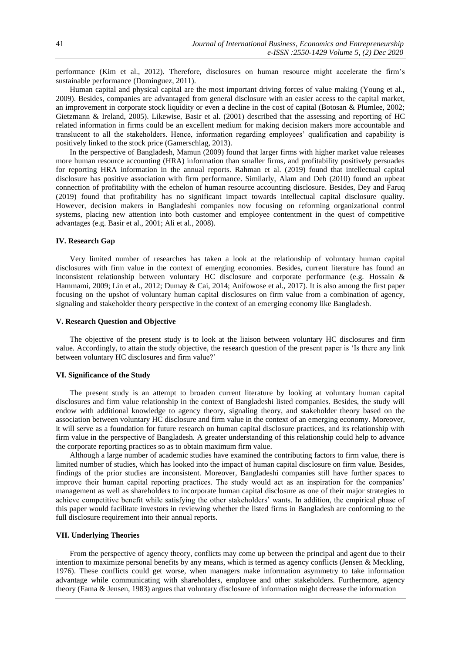performance (Kim et al., 2012). Therefore, disclosures on human resource might accelerate the firm's sustainable performance (Dominguez, 2011).

Human capital and physical capital are the most important driving forces of value making (Young et al., 2009). Besides, companies are advantaged from general disclosure with an easier access to the capital market, an improvement in corporate stock liquidity or even a decline in the cost of capital (Botosan & Plumlee, 2002; Gietzmann & Ireland, 2005). Likewise, Basir et al. (2001) described that the assessing and reporting of HC related information in firms could be an excellent medium for making decision makers more accountable and translucent to all the stakeholders. Hence, information regarding employees' qualification and capability is positively linked to the stock price (Gamerschlag, 2013).

In the perspective of Bangladesh, Mamun (2009) found that larger firms with higher market value releases more human resource accounting (HRA) information than smaller firms, and profitability positively persuades for reporting HRA information in the annual reports. Rahman et al. (2019) found that intellectual capital disclosure has positive association with firm performance. Similarly, Alam and Deb (2010) found an upbeat connection of profitability with the echelon of human resource accounting disclosure. Besides, Dey and Faruq (2019) found that profitability has no significant impact towards intellectual capital disclosure quality. However, decision makers in Bangladeshi companies now focusing on reforming organizational control systems, placing new attention into both customer and employee contentment in the quest of competitive advantages (e.g. Basir et al., 2001; Ali et al., 2008).

# **IV. Research Gap**

Very limited number of researches has taken a look at the relationship of voluntary human capital disclosures with firm value in the context of emerging economies. Besides, current literature has found an inconsistent relationship between voluntary HC disclosure and corporate performance (e.g. Hossain & Hammami, 2009; Lin et al., 2012; Dumay & Cai, 2014; Anifowose et al., 2017). It is also among the first paper focusing on the upshot of voluntary human capital disclosures on firm value from a combination of agency, signaling and stakeholder theory perspective in the context of an emerging economy like Bangladesh.

# **V. Research Question and Objective**

The objective of the present study is to look at the liaison between voluntary HC disclosures and firm value. Accordingly, to attain the study objective, the research question of the present paper is 'Is there any link between voluntary HC disclosures and firm value?'

### **VI. Significance of the Study**

The present study is an attempt to broaden current literature by looking at voluntary human capital disclosures and firm value relationship in the context of Bangladeshi listed companies. Besides, the study will endow with additional knowledge to agency theory, signaling theory, and stakeholder theory based on the association between voluntary HC disclosure and firm value in the context of an emerging economy. Moreover, it will serve as a foundation for future research on human capital disclosure practices, and its relationship with firm value in the perspective of Bangladesh. A greater understanding of this relationship could help to advance the corporate reporting practices so as to obtain maximum firm value.

Although a large number of academic studies have examined the contributing factors to firm value, there is limited number of studies, which has looked into the impact of human capital disclosure on firm value. Besides, findings of the prior studies are inconsistent. Moreover, Bangladeshi companies still have further spaces to improve their human capital reporting practices. The study would act as an inspiration for the companies' management as well as shareholders to incorporate human capital disclosure as one of their major strategies to achieve competitive benefit while satisfying the other stakeholders' wants. In addition, the empirical phase of this paper would facilitate investors in reviewing whether the listed firms in Bangladesh are conforming to the full disclosure requirement into their annual reports.

#### **VII. Underlying Theories**

From the perspective of agency theory, conflicts may come up between the principal and agent due to their intention to maximize personal benefits by any means, which is termed as agency conflicts (Jensen & Meckling, 1976). These conflicts could get worse, when managers make information asymmetry to take information advantage while communicating with shareholders, employee and other stakeholders. Furthermore, agency theory (Fama & Jensen, 1983) argues that voluntary disclosure of information might decrease the information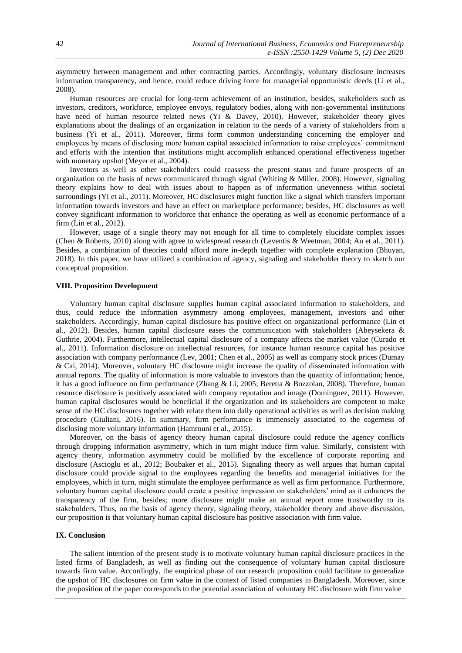asymmetry between management and other contracting parties. Accordingly, voluntary disclosure increases information transparency, and hence, could reduce driving force for managerial opportunistic deeds (Li et al., 2008).

Human resources are crucial for long-term achievement of an institution, besides, stakeholders such as investors, creditors, workforce, employee envoys, regulatory bodies, along with non-governmental institutions have need of human resource related news (Yi & Davey, 2010). However, stakeholder theory gives explanations about the dealings of an organization in relation to the needs of a variety of stakeholders from a business (Yi et al., 2011). Moreover, firms form common understanding concerning the employer and employees by means of disclosing more human capital associated information to raise employees' commitment and efforts with the intention that institutions might accomplish enhanced operational effectiveness together with monetary upshot (Meyer et al., 2004).

Investors as well as other stakeholders could reassess the present status and future prospects of an organization on the basis of news communicated through signal (Whiting & Miller, 2008). However, signaling theory explains how to deal with issues about to happen as of information unevenness within societal surroundings (Yi et al., 2011). Moreover, HC disclosures might function like a signal which transfers important information towards investors and have an effect on marketplace performance; besides, HC disclosures as well convey significant information to workforce that enhance the operating as well as economic performance of a firm (Lin et al., 2012).

However, usage of a single theory may not enough for all time to completely elucidate complex issues (Chen & Roberts, 2010) along with agree to widespread research (Leventis & Weetman, 2004; An et al., 2011). Besides, a combination of theories could afford more in-depth together with complete explanation (Bhuyan, 2018). In this paper, we have utilized a combination of agency, signaling and stakeholder theory to sketch our conceptual proposition.

## **VIII. Proposition Development**

Voluntary human capital disclosure supplies human capital associated information to stakeholders, and thus, could reduce the information asymmetry among employees, management, investors and other stakeholders. Accordingly, human capital disclosure has positive effect on organizational performance (Lin et al., 2012). Besides, human capital disclosure eases the communication with stakeholders (Abeysekera & Guthrie, 2004). Furthermore, intellectual capital disclosure of a company affects the market value (Curado et al., 2011). Information disclosure on intellectual resources, for instance human resource capital has positive association with company performance (Lev, 2001; Chen et al., 2005) as well as company stock prices (Dumay & Cai, 2014). Moreover, voluntary HC disclosure might increase the quality of disseminated information with annual reports. The quality of information is more valuable to investors than the quantity of information; hence, it has a good influence on firm performance (Zhang & Li, 2005; Beretta & Bozzolan, 2008). Therefore, human resource disclosure is positively associated with company reputation and image (Dominguez, 2011). However, human capital disclosures would be beneficial if the organization and its stakeholders are competent to make sense of the HC disclosures together with relate them into daily operational activities as well as decision making procedure (Giuliani, 2016). In summary, firm performance is immensely associated to the eagerness of disclosing more voluntary information (Hamrouni et al., 2015).

Moreover, on the basis of agency theory human capital disclosure could reduce the agency conflicts through dropping information asymmetry, which in turn might induce firm value. Similarly, consistent with agency theory, information asymmetry could be mollified by the excellence of corporate reporting and disclosure (Ascioglu et al., 2012; Boubaker et al., 2015). Signaling theory as well argues that human capital disclosure could provide signal to the employees regarding the benefits and managerial initiatives for the employees, which in turn, might stimulate the employee performance as well as firm performance. Furthermore, voluntary human capital disclosure could create a positive impression on stakeholders' mind as it enhances the transparency of the firm, besides; more disclosure might make an annual report more trustworthy to its stakeholders. Thus, on the basis of agency theory, signaling theory, stakeholder theory and above discussion, our proposition is that voluntary human capital disclosure has positive association with firm value.

#### **IX. Conclusion**

The salient intention of the present study is to motivate voluntary human capital disclosure practices in the listed firms of Bangladesh, as well as finding out the consequence of voluntary human capital disclosure towards firm value. Accordingly, the empirical phase of our research proposition could facilitate to generalize the upshot of HC disclosures on firm value in the context of listed companies in Bangladesh. Moreover, since the proposition of the paper corresponds to the potential association of voluntary HC disclosure with firm value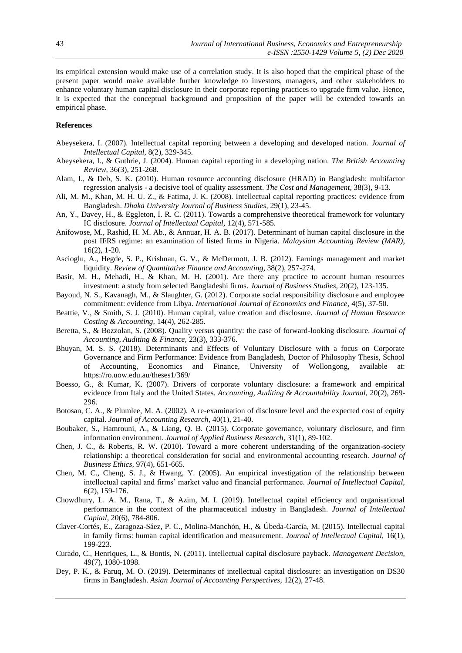its empirical extension would make use of a correlation study. It is also hoped that the empirical phase of the present paper would make available further knowledge to investors, managers, and other stakeholders to enhance voluntary human capital disclosure in their corporate reporting practices to upgrade firm value. Hence, it is expected that the conceptual background and proposition of the paper will be extended towards an empirical phase.

# **References**

- Abeysekera, I. (2007). Intellectual capital reporting between a developing and developed nation. *Journal of Intellectual Capital,* 8(2), 329-345.
- Abeysekera, I., & Guthrie, J. (2004). Human capital reporting in a developing nation. *The British Accounting Review,* 36(3), 251-268.
- Alam, I., & Deb, S. K. (2010). Human resource accounting disclosure (HRAD) in Bangladesh: multifactor regression analysis - a decisive tool of quality assessment. *The Cost and Management,* 38(3), 9-13.
- Ali, M. M., Khan, M. H. U. Z., & Fatima, J. K. (2008). Intellectual capital reporting practices: evidence from Bangladesh. *Dhaka University Journal of Business Studies,* 29(1), 23-45.
- An, Y., Davey, H., & Eggleton, I. R. C. (2011). Towards a comprehensive theoretical framework for voluntary IC disclosure. *Journal of Intellectual Capital,* 12(4), 571-585.
- Anifowose, M., Rashid, H. M. Ab., & Annuar, H. A. B. (2017). Determinant of human capital disclosure in the post IFRS regime: an examination of listed firms in Nigeria. *Malaysian Accounting Review (MAR),*  16(2), 1-20.
- Ascioglu, A., Hegde, S. P., Krishnan, G. V., & McDermott, J. B. (2012). Earnings management and market liquidity. *Review of Quantitative Finance and Accounting,* 38(2), 257-274.
- Basir, M. H., Mehadi, H., & Khan, M. H. (2001). Are there any practice to account human resources investment: a study from selected Bangladeshi firms. *Journal of Business Studies,* 20(2), 123‐135.
- Bayoud, N. S., Kavanagh, M., & Slaughter, G. (2012). Corporate social responsibility disclosure and employee commitment: evidence from Libya. *International Journal of Economics and Finance,* 4(5), 37-50.
- Beattie, V., & Smith, S. J. (2010). Human capital, value creation and disclosure. *Journal of Human Resource Costing & Accounting,* 14(4), 262-285.
- Beretta, S., & Bozzolan, S. (2008). Quality versus quantity: the case of forward-looking disclosure. *Journal of Accounting, Auditing & Finance,* 23(3), 333-376.
- Bhuyan, M. S. S. (2018). Determinants and Effects of Voluntary Disclosure with a focus on Corporate Governance and Firm Performance: Evidence from Bangladesh, Doctor of Philosophy Thesis, School of Accounting, Economics and Finance, University of Wollongong, available at: https://ro.uow.edu.au/theses1/369/
- Boesso, G., & Kumar, K. (2007). Drivers of corporate voluntary disclosure: a framework and empirical evidence from Italy and the United States. *Accounting, Auditing & Accountability Journal,* 20(2), 269- 296.
- Botosan, C. A., & Plumlee, M. A. (2002). A re-examination of disclosure level and the expected cost of equity capital. *Journal of Accounting Research,* 40(1), 21-40.
- Boubaker, S., Hamrouni, A., & Liang, Q. B. (2015). Corporate governance, voluntary disclosure, and firm information environment. *Journal of Applied Business Research,* 31(1), 89-102.
- Chen, J. C., & Roberts, R. W. (2010). Toward a more coherent understanding of the organization-society relationship: a theoretical consideration for social and environmental accounting research. *Journal of Business Ethics,* 97(4), 651-665.
- Chen, M. C., Cheng, S. J., & Hwang, Y. (2005). An empirical investigation of the relationship between intellectual capital and firms' market value and financial performance. *Journal of Intellectual Capital,*  6(2), 159-176.
- Chowdhury, L. A. M., Rana, T., & Azim, M. I. (2019). Intellectual capital efficiency and organisational performance in the context of the pharmaceutical industry in Bangladesh*. Journal of Intellectual Capital,* 20(6), 784-806.
- Claver-Cortés, E., Zaragoza-Sáez, P. C., Molina-Manchón, H., & Úbeda-García, M. (2015). Intellectual capital in family firms: human capital identification and measurement. *Journal of Intellectual Capital,* 16(1), 199-223.
- Curado, C., Henriques, L., & Bontis, N. (2011). Intellectual capital disclosure payback. *Management Decision,*  49(7), 1080-1098.
- Dey, P. K., & Faruq, M. O. (2019). Determinants of intellectual capital disclosure: an investigation on DS30 firms in Bangladesh. *Asian Journal of Accounting Perspectives,* 12(2), 27-48.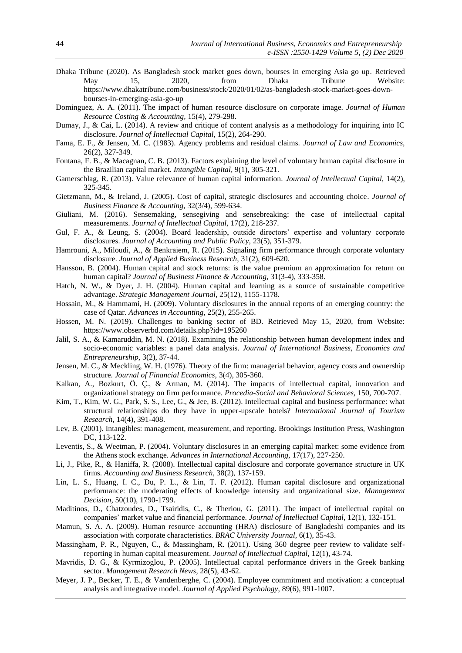- Dhaka Tribune (2020). As Bangladesh stock market goes down, bourses in emerging Asia go up. Retrieved May 15, 2020, from Dhaka Tribune Website: [https://www.dhakatribune.com/business/stock/2020/01/02/as-bangladesh-stock-market-goes-down](https://www.dhakatribune.com/business/stock/2020/01/02/as-bangladesh-stock-market-goes-down-bourses-in-emerging-asia-go-up)[bourses-in-emerging-asia-go-up](https://www.dhakatribune.com/business/stock/2020/01/02/as-bangladesh-stock-market-goes-down-bourses-in-emerging-asia-go-up)
- Dominguez, A. A. (2011). The impact of human resource disclosure on corporate image. *Journal of Human Resource Costing & Accounting,* 15(4), 279-298.
- Dumay, J., & Cai, L. (2014). A review and critique of content analysis as a methodology for inquiring into IC disclosure. *Journal of Intellectual Capital,* 15(2), 264-290.
- Fama, E. F., & Jensen, M. C. (1983). Agency problems and residual claims. *Journal of Law and Economics,*  26(2), 327-349.
- Fontana, F. B., & Macagnan, C. B. (2013). Factors explaining the level of voluntary human capital disclosure in the Brazilian capital market. *Intangible Capital,* 9(1), 305-321.
- Gamerschlag, R. (2013). Value relevance of human capital information. *Journal of Intellectual Capital,* 14(2), 325-345.
- Gietzmann, M., & Ireland, J. (2005). Cost of capital, strategic disclosures and accounting choice. *Journal of Business Finance & Accounting,* 32(3/4), 599-634.
- Giuliani, M. (2016). Sensemaking, sensegiving and sensebreaking: the case of intellectual capital measurements. *Journal of Intellectual Capital,* 17(2), 218-237.
- Gul, F. A., & Leung, S. (2004). Board leadership, outside directors' expertise and voluntary corporate disclosures. *Journal of Accounting and Public Policy,* 23(5), 351-379.
- Hamrouni, A., Miloudi, A., & Benkraiem, R. (2015). Signaling firm performance through corporate voluntary disclosure. *Journal of Applied Business Research,* 31(2), 609-620.
- Hansson, B. (2004). Human capital and stock returns: is the value premium an approximation for return on human capital? *Journal of Business Finance & Accounting,* 31(3-4), 333-358.
- Hatch, N. W., & Dyer, J. H. (2004). Human capital and learning as a source of sustainable competitive advantage. *Strategic Management Journal,* 25(12), 1155-1178.
- Hossain, M., & Hammami, H. (2009). Voluntary disclosures in the annual reports of an emerging country: the case of Qatar. *Advances in Accounting,* 25(2), 255-265.
- Hossen, M. N. (2019). Challenges to banking sector of BD. Retrieved May 15, 2020, from Website: <https://www.observerbd.com/details.php?id=195260>
- Jalil, S. A., & Kamaruddin, M. N. (2018). Examining the relationship between human development index and socio-economic variables: a panel data analysis. *Journal of International Business, Economics and Entrepreneurship,* 3(2), 37-44.
- Jensen, M. C., & Meckling, W. H. (1976). Theory of the firm: managerial behavior, agency costs and ownership structure. *Journal of Financial Economics,* 3(4), 305-360.
- Kalkan, A., Bozkurt, Ö. Ç., & Arman, M. (2014). The impacts of intellectual capital, innovation and organizational strategy on firm performance. *Procedia-Social and Behavioral Sciences,* 150, 700-707.
- Kim, T., Kim, W. G., Park, S. S., Lee, G., & Jee, B. (2012). Intellectual capital and business performance: what structural relationships do they have in upper-upscale hotels? *International Journal of Tourism Research,* 14(4), 391-408.
- Lev, B. (2001). Intangibles: management, measurement, and reporting. Brookings Institution Press, Washington DC, 113-122.
- Leventis, S., & Weetman, P. (2004). Voluntary disclosures in an emerging capital market: some evidence from the Athens stock exchange. *Advances in International Accounting,* 17(17), 227-250.
- Li, J., Pike, R., & Haniffa, R. (2008). Intellectual capital disclosure and corporate governance structure in UK firms. *Accounting and Business Research,* 38(2), 137-159.
- Lin, L. S., Huang, I. C., Du, P. L., & Lin, T. F. (2012). Human capital disclosure and organizational performance: the moderating effects of knowledge intensity and organizational size. *Management Decision,* 50(10), 1790-1799.
- Maditinos, D., Chatzoudes, D., Tsairidis, C., & Theriou, G. (2011). The impact of intellectual capital on companies' market value and financial performance. *Journal of Intellectual Capital,* 12(1), 132-151.
- Mamun, S. A. A. (2009). Human resource accounting (HRA) disclosure of Bangladeshi companies and its association with corporate characteristics. *BRAC University Journal,* 6(1), 35-43.
- Massingham, P. R., Nguyen, C., & Massingham, R. (2011). Using 360 degree peer review to validate selfreporting in human capital measurement. *Journal of Intellectual Capital,* 12(1), 43-74.
- Mavridis, D. G., & Kyrmizoglou, P. (2005). Intellectual capital performance drivers in the Greek banking sector. *Management Research News,* 28(5), 43-62.
- Meyer, J. P., Becker, T. E., & Vandenberghe, C. (2004). Employee commitment and motivation: a conceptual analysis and integrative model. *Journal of Applied Psychology,* 89(6), 991-1007.